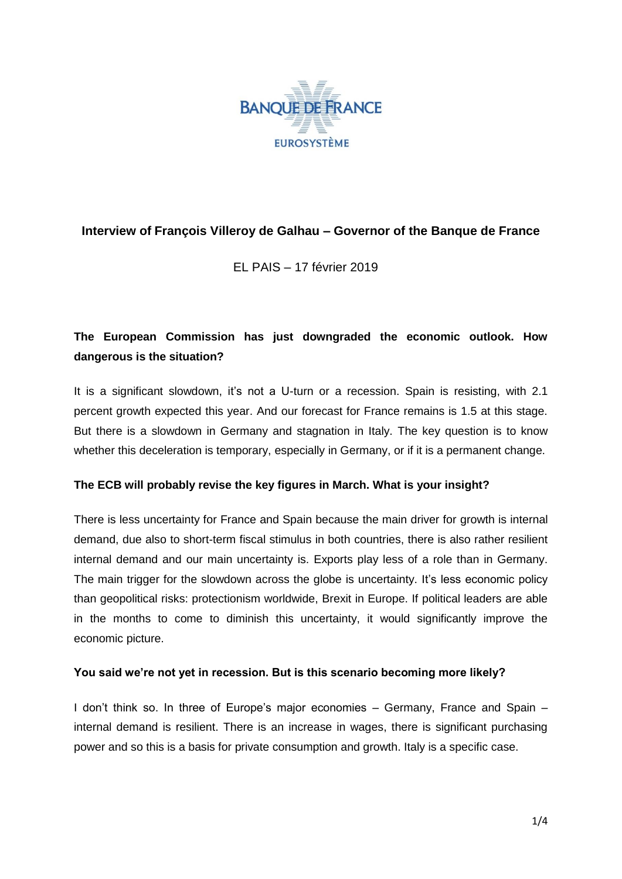

### **Interview of François Villeroy de Galhau – Governor of the Banque de France**

### EL PAIS – 17 février 2019

## **The European Commission has just downgraded the economic outlook. How dangerous is the situation?**

It is a significant slowdown, it's not a U-turn or a recession. Spain is resisting, with 2.1 percent growth expected this year. And our forecast for France remains is 1.5 at this stage. But there is a slowdown in Germany and stagnation in Italy. The key question is to know whether this deceleration is temporary, especially in Germany, or if it is a permanent change.

#### **The ECB will probably revise the key figures in March. What is your insight?**

There is less uncertainty for France and Spain because the main driver for growth is internal demand, due also to short-term fiscal stimulus in both countries, there is also rather resilient internal demand and our main uncertainty is. Exports play less of a role than in Germany. The main trigger for the slowdown across the globe is uncertainty. It's less economic policy than geopolitical risks: protectionism worldwide, Brexit in Europe. If political leaders are able in the months to come to diminish this uncertainty, it would significantly improve the economic picture.

#### **You said we're not yet in recession. But is this scenario becoming more likely?**

I don't think so. In three of Europe's major economies – Germany, France and Spain – internal demand is resilient. There is an increase in wages, there is significant purchasing power and so this is a basis for private consumption and growth. Italy is a specific case.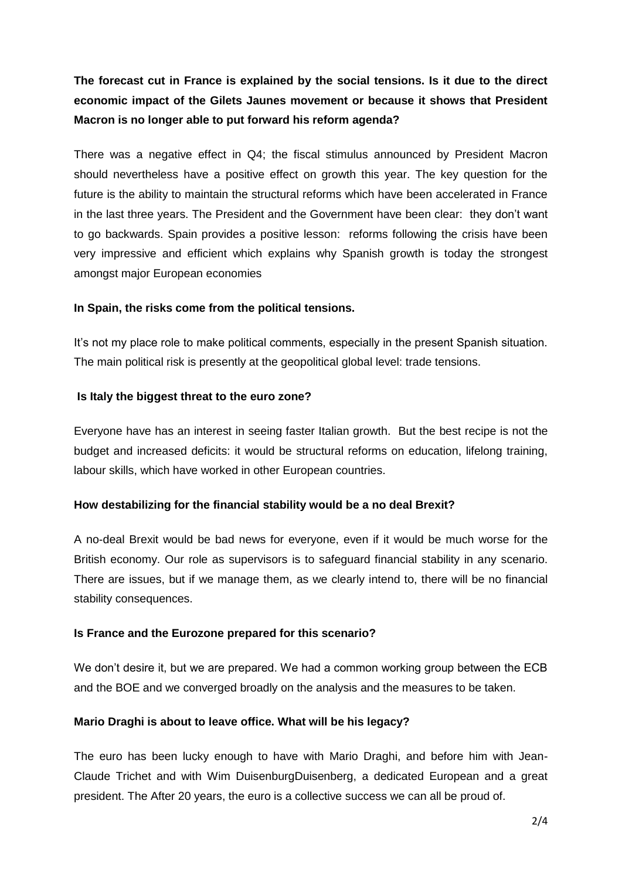# **The forecast cut in France is explained by the social tensions. Is it due to the direct economic impact of the Gilets Jaunes movement or because it shows that President Macron is no longer able to put forward his reform agenda?**

There was a negative effect in Q4; the fiscal stimulus announced by President Macron should nevertheless have a positive effect on growth this year. The key question for the future is the ability to maintain the structural reforms which have been accelerated in France in the last three years. The President and the Government have been clear: they don't want to go backwards. Spain provides a positive lesson: reforms following the crisis have been very impressive and efficient which explains why Spanish growth is today the strongest amongst major European economies

#### **In Spain, the risks come from the political tensions.**

It's not my place role to make political comments, especially in the present Spanish situation. The main political risk is presently at the geopolitical global level: trade tensions.

#### **Is Italy the biggest threat to the euro zone?**

Everyone have has an interest in seeing faster Italian growth. But the best recipe is not the budget and increased deficits: it would be structural reforms on education, lifelong training, labour skills, which have worked in other European countries.

### **How destabilizing for the financial stability would be a no deal Brexit?**

A no-deal Brexit would be bad news for everyone, even if it would be much worse for the British economy. Our role as supervisors is to safeguard financial stability in any scenario. There are issues, but if we manage them, as we clearly intend to, there will be no financial stability consequences.

#### **Is France and the Eurozone prepared for this scenario?**

We don't desire it, but we are prepared. We had a common working group between the ECB and the BOE and we converged broadly on the analysis and the measures to be taken.

### **Mario Draghi is about to leave office. What will be his legacy?**

The euro has been lucky enough to have with Mario Draghi, and before him with Jean-Claude Trichet and with Wim DuisenburgDuisenberg, a dedicated European and a great president. The After 20 years, the euro is a collective success we can all be proud of.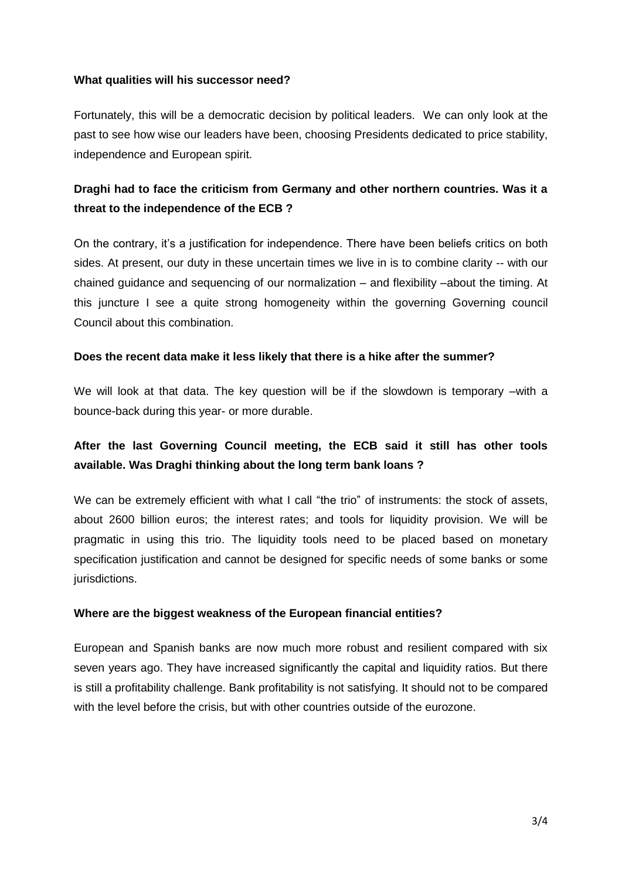#### **What qualities will his successor need?**

Fortunately, this will be a democratic decision by political leaders. We can only look at the past to see how wise our leaders have been, choosing Presidents dedicated to price stability, independence and European spirit.

## **Draghi had to face the criticism from Germany and other northern countries. Was it a threat to the independence of the ECB ?**

On the contrary, it's a justification for independence. There have been beliefs critics on both sides. At present, our duty in these uncertain times we live in is to combine clarity -- with our chained guidance and sequencing of our normalization – and flexibility –about the timing. At this juncture I see a quite strong homogeneity within the governing Governing council Council about this combination.

#### **Does the recent data make it less likely that there is a hike after the summer?**

We will look at that data. The key question will be if the slowdown is temporary –with a bounce-back during this year- or more durable.

## **After the last Governing Council meeting, the ECB said it still has other tools available. Was Draghi thinking about the long term bank loans ?**

We can be extremely efficient with what I call "the trio" of instruments: the stock of assets, about 2600 billion euros; the interest rates; and tools for liquidity provision. We will be pragmatic in using this trio. The liquidity tools need to be placed based on monetary specification justification and cannot be designed for specific needs of some banks or some jurisdictions.

#### **Where are the biggest weakness of the European financial entities?**

European and Spanish banks are now much more robust and resilient compared with six seven years ago. They have increased significantly the capital and liquidity ratios. But there is still a profitability challenge. Bank profitability is not satisfying. It should not to be compared with the level before the crisis, but with other countries outside of the eurozone.